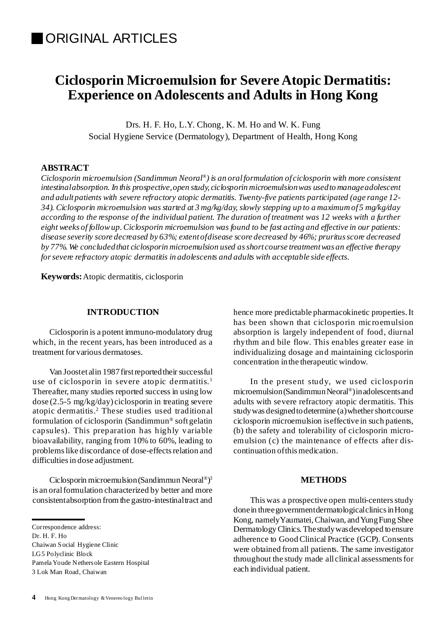# **Ciclosporin Microemulsion for Severe Atopic Dermatitis: Experience on Adolescents and Adults in Hong Kong**

Drs. H. F. Ho, L.Y. Chong, K. M. Ho and W. K. Fung Social Hygiene Service (Dermatology), Department of Health, Hong Kong

## **ABSTRACT**

*Ciclosporin microemulsion (Sandimmun Neoral ®) is an oralformulation of ciclosporin with more consistent intestinalabsorption. In this prospective,open study, ciclosporin microemulsionwas usedto manageadolescent and adultpatients with severe refractory atopic dermatitis. Twenty-five patients participated (age range 12- 34). Ciclosporin microemulsion was started at 3 mg/kg/day, slowly stepping up to a maximum of5 mg/kg/day* according to the response of the individual patient. The duration of treatment was 12 weeks with a further *eight weeks of followup.Ciclosporin microemulsion was found to be fast acting and effective in our patients: disease severity score decreased by 63%; extentofdisease score decreased by 46%; pruritusscore decreased by 77%. We concludedthat ciclosporin microemulsion used asshort course treatmentwas an effective therapy forsevere refractory atopic dermatitis in adolescents and adults with acceptable side effects.*

**Keywords:**Atopic dermatitis, ciclosporin

#### **INTRODUCTION**

Ciclosporin is a potent immuno-modulatory drug which, in the recent years, has been introduced as a treatment for various dermatoses.

Van Joostet alin 1987 first reported their successful use of ciclosporin in severe atopic dermatitis.<sup>1</sup> Thereafter, many studies reported success in using low dose (2.5-5 mg/kg/day) ciclosporin in treating severe atopic dermatitis. <sup>2</sup> These studies used traditional formulation of ciclosporin (Sandimmun ® softgelatin capsules). This preparation has highly variable bioavailability, ranging from 10% to 60%, leading to problemslike discordance of dose-effectsrelation and difficulties in dose adjustment.

Ciclosporin microemulsion(Sandimmun Neoral ®) 3 is an oral formulation characterized by better and more consistentabsorption fromthe gastro-intestinaltract and hence more predictable pharmacokinetic properties.It has been shown that ciclosporin microemulsion absorption is largely independent of food, diurnal rhythm and bile flow. This enables greater ease in individualizing dosage and maintaining ciclosporin concentration inthe therapeutic window.

In the present study, we used ciclosporin microemulsion (Sandimmun Neoral®) in adolescents and adults with severe refractory atopic dermatitis. This study was designed to determine (a) whether shortcourse ciclosporin microemulsion iseffective in such patients, (b) the safety and tolerability of ciclosporin microemulsion (c) the maintenance of effects after discontinuation of this medication.

## **METHODS**

This was a prospective open multi-centers study done in three government dermatological clinics in Hong Kong, namely Yaumatei, Chaiwan, and Yung Fung Shee Dermatology Clinics.Thestudywasdeveloped toensure adherence to Good Clinical Practice (GCP). Consents were obtained fromall patients. The same investigator throughout the study made all clinical assessmentsfor each individual patient.

Correspondence address:

Dr. H. F. Ho Chaiwan Social Hygiene Clinic LG5 Polyclinic Block PamelaYoude Nethersole Eastern Hospital 3 Lok Man Road, Chaiwan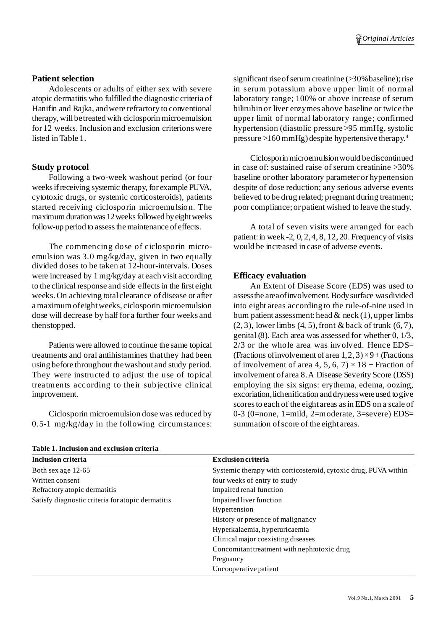## **Patient selection**

Adolescents or adults of either sex with severe atopic dermatitis who fulfilled the diagnostic criteria of Hanifin and Rajka, andwere refractory to conventional therapy, will be treated with ciclosporin microemulsion for 12 weeks. Inclusion and exclusion criterions were listed in Table 1.

## **Study protocol**

Following a two-week washout period (or four weeksifreceiving systemic therapy, for example PUVA, cytotoxic drugs, or systemic corticosteroids), patients started receiving ciclosporin microemulsion. The maximum duration was 12 weeks followed by eight weeks follow-up period to assess the maintenance of effects.

The commencing dose of ciclosporin microemulsion was 3.0 mg/kg/day, given in two equally divided doses to be taken at 12-hour-intervals. Doses were increased by 1 mg/kg/day at each visit according to the clinical response and side effects in the first eight weeks. On achieving total clearance of disease or after a maximumofeightweeks, ciclosporin microemulsion dose will decrease by half for a further four weeks and thenstopped.

Patients were allowed tocontinue the same topical treatments and oral antihistamines thatthey had been using before throughout thewashout and study period. They were instructed to adjust the use of topical treatments according to their subjective clinical improvement.

Ciclosporin microemulsion dose was reduced by 0.5-1 mg/kg/day in the following circumstances: significant rise of serum creatinine (>30% baseline); rise in serum potassium above upper limit of normal laboratory range; 100% or above increase of serum bilirubin or liver enzymes above baseline or twice the upper limit of normal laboratory range; confirmed hypertension (diastolic pressure >95 mmHg, systolic pressure >160 mmHg) despite hypertensive therapy. 4

Ciclosporin microemulsionwould bediscontinued in case of: sustained raise of serum creatinine >30% baseline or other laboratory parameter or hypertension despite of dose reduction; any serious adverse events believed to be drug related; pregnant during treatment; poor compliance;or patient wished to leave the study.

A total of seven visits were arranged for each patient: in week  $-2$ , 0, 2, 4, 8, 12, 20. Frequency of visits would be increased in case of adverse events.

## **Efficacy evaluation**

An Extent of Disease Score (EDS) was used to assessthe areaofinvolvement.Bodysurface wasdivided into eight areas according to the rule-of-nine used in burn patient assessment: head  $\&$  neck (1), upper limbs  $(2, 3)$ , lower limbs  $(4, 5)$ , front & back of trunk  $(6, 7)$ , genital (8). Each area was assessed for whether 0, 1/3,  $2/3$  or the whole area was involved. Hence EDS= (Fractions of involvement of area  $1,2,3$ )  $\times$  9+ (Fractions of involvement of area 4, 5, 6, 7)  $\times$  18 + Fraction of involvement of area 8.A Disease Severity Score (DSS) employing the six signs: erythema, edema, oozing, excoriation, lichenification and dryness were used to give scores to each of the eight areas as in EDS on a scale of 0-3 (0=none, 1=mild, 2=moderate, 3=severe)  $EDS=$ summation of score of the eight areas.

| Inclusion criteria                                | <b>Exclusion criteria</b>                                       |
|---------------------------------------------------|-----------------------------------------------------------------|
| Both sex age 12-65                                | Systemic therapy with corticosteroid, cytoxic drug, PUVA within |
| Written consent                                   | four weeks of entry to study                                    |
| Refractory atopic dermatitis                      | Impaired renal function                                         |
| Satisfy diagnostic criteria for atopic dermatitis | Impaired liver function                                         |
|                                                   | Hypertension                                                    |
|                                                   | History or presence of malignancy                               |
|                                                   | Hyperkalaemia, hyperuricaemia                                   |
|                                                   | Clinical major coexisting diseases                              |
|                                                   | Concomitant treatment with nephrotoxic drug                     |
|                                                   | Pregnancy                                                       |
|                                                   | Uncooperative patient                                           |

**Table 1. Inclusion and exclusion criteria**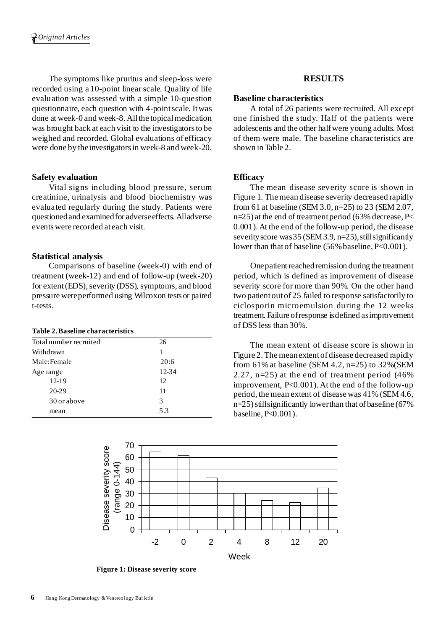The symptoms like pruritus and sleep-loss were recorded using a 10-point linear scale. Quality of life evaluation was assessed with a simple 10-question questionnaire, each question with 4-pointscale. Itwas done at week-0 and week-8. All the topical medication was brought back at each visit to the investigators to be weighed and recorded. Global evaluations of efficacy were done by theinvestigatorsin week-8 and week-20.

## **Safety evaluation**

Vital signs including blood pressure, serum creatinine, urinalysis and blood biochemistry was evaluated regularly during the study. Patients were questioned and examined for adverse effects. All adverse eventswere recorded at each visit.

# **Statistical analysis**

Comparisons of baseline (week-0) with end of treatment (week-12) and end of follow-up (week-20) for extent (EDS), severity (DSS), symptoms, and blood pressure wereperformed using Wilcoxon tests or paired t-tests.

## **Table 2.Baseline characteristics**

| Total number recruited | 26    |
|------------------------|-------|
| Withdrawn              |       |
| Male:Female            | 20:6  |
| Age range              | 12-34 |
| 12-19                  | 12    |
| 20-29                  | 11    |
| 30 or above            | 3     |
| mean                   | 5.3   |
|                        |       |

# **RESULTS**

## **Baseline characteristics**

A total of 26 patients were recruited. All except one finished the study. Half of the patients were adolescents and the other halfwere young adults. Most of them were male. The baseline characteristics are shown in Table 2.

# **Efficacy**

The mean disease severity score is shown in Figure 1. The mean disease severity decreased rapidly from 61 at baseline (SEM 3.0, n=25) to 23 (SEM 2.07,  $n=25$ ) at the end of treatment period (63% decrease, P< 0.001). At the end of the follow-up period, the disease severity score was  $35$  (SEM 3.9, n=25), still significantly lower than that of baseline (56% baseline, P<0.001).

One patient reached remission during the treatment period, which is defined as improvement of disease severity score for more than 90%. On the other hand two patientoutof 25 failed to response satisfactorily to ciclosporin microemulsion during the 12 weeks treatment. Failure ofresponse isdefined asimprovement of DSS less than 30%.

The mean extent of disease score is shown in Figure 2.The meanextentof disease decreased rapidly from 61% at baseline (SEM 4.2,  $n=25$ ) to 32%(SEM 2.27,  $n=25$ ) at the end of treatment period (46%) improvement, P<0.001). At the end of the follow-up period, the mean extent of disease was 41% (SEM 4.6, n=25)stillsignificantly lowerthan that of baseline (67% baseline, P<0.001).



**Figure 1: Disease severity score**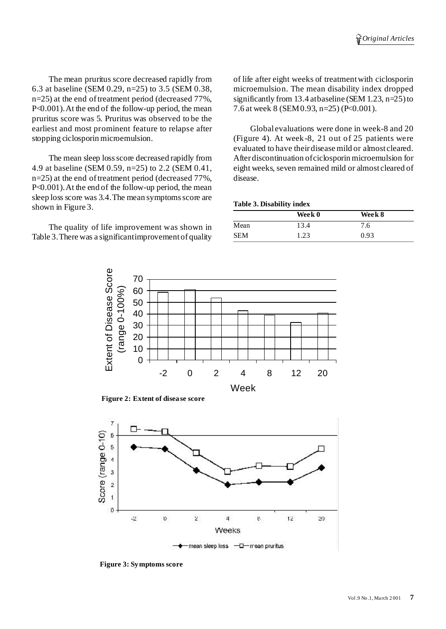The mean pruritus score decreased rapidly from 6.3 at baseline (SEM 0.29, n=25) to 3.5 (SEM 0.38,  $n=25$ ) at the end of treatment period (decreased 77%, P<0.001).At the end of the follow-up period, the mean pruritus score was 5. Pruritus was observed to be the earliest and most prominent feature to relapse after stopping ciclosporin microemulsion.

The mean sleep loss score decreased rapidly from 4.9 at baseline (SEM 0.59, n=25) to 2.2 (SEM 0.41,  $n=25$ ) at the end of treatment period (decreased 77%, P<0.001). At the end of the follow-up period, the mean sleep loss score was 3.4. The mean symptoms score are shown in Figure 3.

The quality of life improvement was shown in Table 3.There was a significantimprovementof quality of life after eight weeks of treatmentwith ciclosporin microemulsion. The mean disability index dropped significantly from 13.4 atbaseline (SEM 1.23,  $n=25$ ) to 7.6 at week 8 (SEM0.93, n=25) (P<0.001).

Global evaluations were done in week-8 and 20 (Figure 4). At week-8, 21 out of 25 patients were evaluated to have their disease mild or almost cleared. After discontinuation ofciclosporin microemulsion for eight weeks, seven remained mild or almost cleared of disease.

#### **Table 3. Disability index**

|            | Week 0 | Week 8 |  |
|------------|--------|--------|--|
| Mean       | 13.4   | 7.6    |  |
| <b>SEM</b> | 1.23   | 0.93   |  |



**Figure 2: Extent** of disease score



**Figure 3:Symptoms score**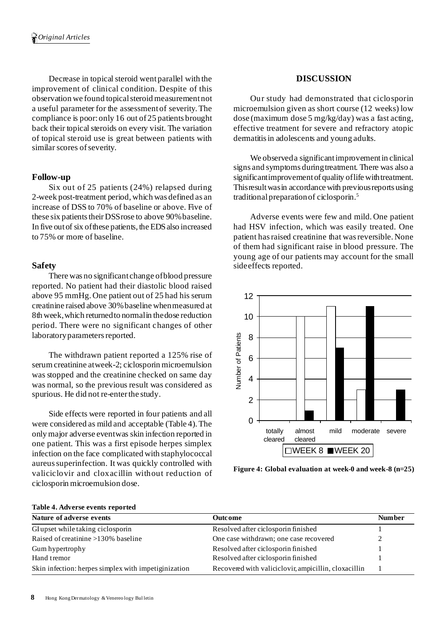Decrease in topical steroid went parallel with the improvement of clinical condition. Despite of this observation we found topicalsteroid measurementnot a useful parameter for the assessmentof severity.The compliance is poor:only 16 out of 25 patients brought back their topical steroids on every visit. The variation of topical steroid use is great between patients with similar scores of severity.

## **Follow-up**

Six out of 25 patients (24%) relapsed during 2-week post-treatment period, which was defined as an increase of DSS to 70% of baseline or above. Five of these six patients their DSS rose to above 90% baseline. In five out of six of these patients, the EDS also increased to 75% or more of baseline.

## **Safety**

There was no significant change ofblood pressure reported. No patient had their diastolic blood raised above 95 mmHg. One patient out of 25 had his serum creatinine raised above 30%baseline whenmeasured at 8th week,which returnedto normalin thedose reduction period. There were no significant changes of other laboratory parameters reported.

The withdrawn patient reported a 125% rise of serumcreatinine atweek-2; ciclosporin microemulsion was stopped and the creatinine checked on same day was normal, so the previous result was considered as spurious. He did not re-enter the study.

Side effects were reported in four patients and all were considered as mild and acceptable (Table 4).The only major adverse eventwas skin infection reported in one patient. This was a first episode herpes simplex infection on the face complicated with staphylococcal aureussuperinfection. It was quickly controlled with valiciclovir and cloxacillin without reduction of ciclosporin microemulsion dose.

## **DISCUSSION**

Our study had demonstrated that ciclosporin microemulsion given as short course (12 weeks) low dose (maximum dose 5 mg/kg/day) was a fast acting, effective treatment for severe and refractory atopic dermatitisin adolescents and young adults.

We observed a significant improvement in clinical signs and symptoms duringtreatment. There was also a significantimprovement of quality of life with treatment. Thisresultwasin accordance with previousreports using traditionalpreparationof ciclosporin. 5

Adverse events were few and mild. One patient had HSV infection, which was easily treated. One patient hasraised creatinine that wasreversible. None of them had significant raise in blood pressure. The young age of our patients may account for the small sideeffects reported.



**Figure 4: Global evaluation at week-0 and week-8 (n=25)**

| $10000$ $$ $100000$ $$ $1000100$                     |         |  |  |  |
|------------------------------------------------------|---------|--|--|--|
| Outcome                                              | Num ber |  |  |  |
| Resolved after ciclosporin finished                  |         |  |  |  |
| One case withdrawn; one case recovered               |         |  |  |  |
| Resolved after ciclosporin finished                  |         |  |  |  |
| Resolved after ciclosporin finished                  |         |  |  |  |
| Recovered with valiciclovir, ampicillin, cloxacillin |         |  |  |  |
|                                                      |         |  |  |  |